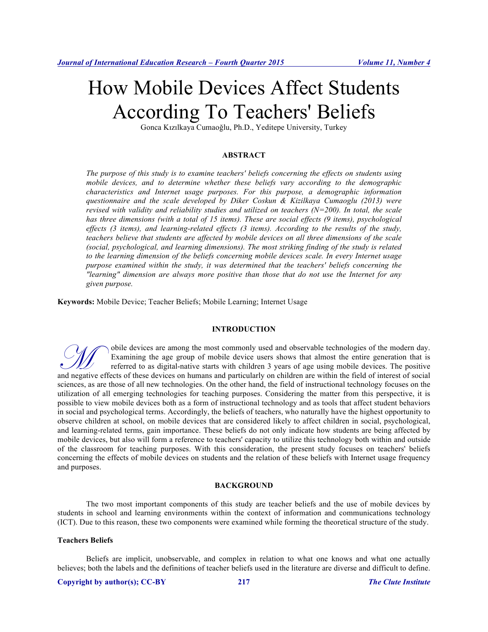# How Mobile Devices Affect Students According To Teachers' Beliefs

Gonca Kızılkaya Cumaoğlu, Ph.D., Yeditepe University, Turkey

### **ABSTRACT**

*The purpose of this study is to examine teachers' beliefs concerning the effects on students using mobile devices, and to determine whether these beliefs vary according to the demographic characteristics and Internet usage purposes. For this purpose, a demographic information questionnaire and the scale developed by Diker Coskun & Kizilkaya Cumaoglu (2013) were revised with validity and reliability studies and utilized on teachers (N=200). In total, the scale has three dimensions (with a total of 15 items). These are social effects (9 items), psychological effects (3 items), and learning-related effects (3 items). According to the results of the study, teachers believe that students are affected by mobile devices on all three dimensions of the scale (social, psychological, and learning dimensions). The most striking finding of the study is related to the learning dimension of the beliefs concerning mobile devices scale. In every Internet usage purpose examined within the study, it was determined that the teachers' beliefs concerning the "learning" dimension are always more positive than those that do not use the Internet for any given purpose.*

**Keywords:** Mobile Device; Teacher Beliefs; Mobile Learning; Internet Usage

#### **INTRODUCTION**

obile devices are among the most commonly used and observable technologies of the modern day. Examining the age group of mobile device users shows that almost the entire generation that is referred to as digital-native starts with children 3 years of age using mobile devices. The positive and negative effects of these devices on humans and particularly on children are within the field of interest of social and negative effects of these devices on humans and particularly on children are within the field of i sciences, as are those of all new technologies. On the other hand, the field of instructional technology focuses on the utilization of all emerging technologies for teaching purposes. Considering the matter from this perspective, it is possible to view mobile devices both as a form of instructional technology and as tools that affect student behaviors in social and psychological terms. Accordingly, the beliefs of teachers, who naturally have the highest opportunity to observe children at school, on mobile devices that are considered likely to affect children in social, psychological, and learning-related terms, gain importance. These beliefs do not only indicate how students are being affected by mobile devices, but also will form a reference to teachers' capacity to utilize this technology both within and outside of the classroom for teaching purposes. With this consideration, the present study focuses on teachers' beliefs concerning the effects of mobile devices on students and the relation of these beliefs with Internet usage frequency and purposes.

#### **BACKGROUND**

The two most important components of this study are teacher beliefs and the use of mobile devices by students in school and learning environments within the context of information and communications technology (ICT). Due to this reason, these two components were examined while forming the theoretical structure of the study.

#### **Teachers Beliefs**

Beliefs are implicit, unobservable, and complex in relation to what one knows and what one actually believes; both the labels and the definitions of teacher beliefs used in the literature are diverse and difficult to define.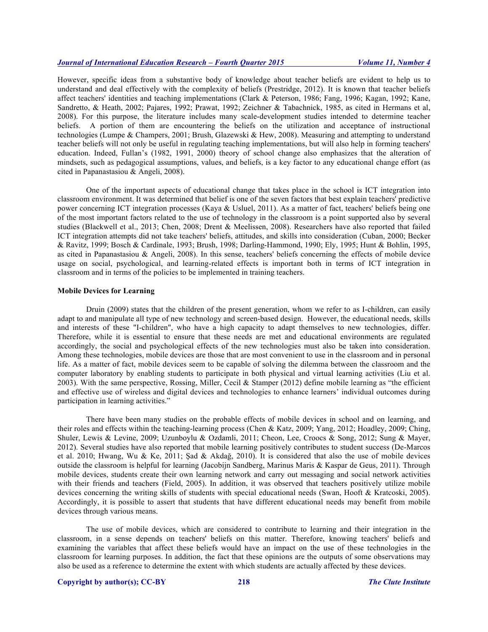However, specific ideas from a substantive body of knowledge about teacher beliefs are evident to help us to understand and deal effectively with the complexity of beliefs (Prestridge, 2012). It is known that teacher beliefs affect teachers' identities and teaching implementations (Clark & Peterson, 1986; Fang, 1996; Kagan, 1992; Kane, Sandretto, & Heath, 2002; Pajares, 1992; Prawat, 1992; Zeichner & Tabachnick, 1985, as cited in Hermans et al, 2008). For this purpose, the literature includes many scale-development studies intended to determine teacher beliefs. A portion of them are encountering the beliefs on the utilization and acceptance of instructional technologies (Lumpe & Champers, 2001; Brush, Glazewski & Hew, 2008). Measuring and attempting to understand teacher beliefs will not only be useful in regulating teaching implementations, but will also help in forming teachers' education. Indeed, Fullan's (1982, 1991, 2000) theory of school change also emphasizes that the alteration of mindsets, such as pedagogical assumptions, values, and beliefs, is a key factor to any educational change effort (as cited in Papanastasiou & Angeli, 2008).

One of the important aspects of educational change that takes place in the school is ICT integration into classroom environment. It was determined that belief is one of the seven factors that best explain teachers' predictive power concerning ICT integration processes (Kaya & Usluel, 2011). As a matter of fact, teachers' beliefs being one of the most important factors related to the use of technology in the classroom is a point supported also by several studies (Blackwell et al., 2013; Chen, 2008; Drent & Meelissen, 2008). Researchers have also reported that failed ICT integration attempts did not take teachers' beliefs, attitudes, and skills into consideration (Cuban, 2000; Becker & Ravitz, 1999; Bosch & Cardinale, 1993; Brush, 1998; Darling-Hammond, 1990; Ely, 1995; Hunt & Bohlin, 1995, as cited in Papanastasiou & Angeli, 2008). In this sense, teachers' beliefs concerning the effects of mobile device usage on social, psychological, and learning-related effects is important both in terms of ICT integration in classroom and in terms of the policies to be implemented in training teachers.

#### **Mobile Devices for Learning**

Druin (2009) states that the children of the present generation, whom we refer to as I-children, can easily adapt to and manipulate all type of new technology and screen-based design. However, the educational needs, skills and interests of these "I-children", who have a high capacity to adapt themselves to new technologies, differ. Therefore, while it is essential to ensure that these needs are met and educational environments are regulated accordingly, the social and psychological effects of the new technologies must also be taken into consideration. Among these technologies, mobile devices are those that are most convenient to use in the classroom and in personal life. As a matter of fact, mobile devices seem to be capable of solving the dilemma between the classroom and the computer laboratory by enabling students to participate in both physical and virtual learning activities (Liu et al. 2003). With the same perspective, Rossing, Miller, Cecil & Stamper (2012) define mobile learning as "the efficient and effective use of wireless and digital devices and technologies to enhance learners' individual outcomes during participation in learning activities."

There have been many studies on the probable effects of mobile devices in school and on learning, and their roles and effects within the teaching-learning process (Chen & Katz, 2009; Yang, 2012; Hoadley, 2009; Ching, Shuler, Lewis & Levine, 2009; Uzunboylu & Ozdamli, 2011; Cheon, Lee, Croocs & Song, 2012; Sung & Mayer, 2012). Several studies have also reported that mobile learning positively contributes to student success (De-Marcos et al. 2010; Hwang, Wu & Ke, 2011; Şad & Akdağ, 2010). It is considered that also the use of mobile devices outside the classroom is helpful for learning (Jacobijn Sandberg, Marinus Maris & Kaspar de Geus, 2011). Through mobile devices, students create their own learning network and carry out messaging and social network activities with their friends and teachers (Field, 2005). In addition, it was observed that teachers positively utilize mobile devices concerning the writing skills of students with special educational needs (Swan, Hooft & Kratcoski, 2005). Accordingly, it is possible to assert that students that have different educational needs may benefit from mobile devices through various means.

The use of mobile devices, which are considered to contribute to learning and their integration in the classroom, in a sense depends on teachers' beliefs on this matter. Therefore, knowing teachers' beliefs and examining the variables that affect these beliefs would have an impact on the use of these technologies in the classroom for learning purposes. In addition, the fact that these opinions are the outputs of some observations may also be used as a reference to determine the extent with which students are actually affected by these devices.

#### **Copyright by author(s); CC-BY 218** *The Clute Institute*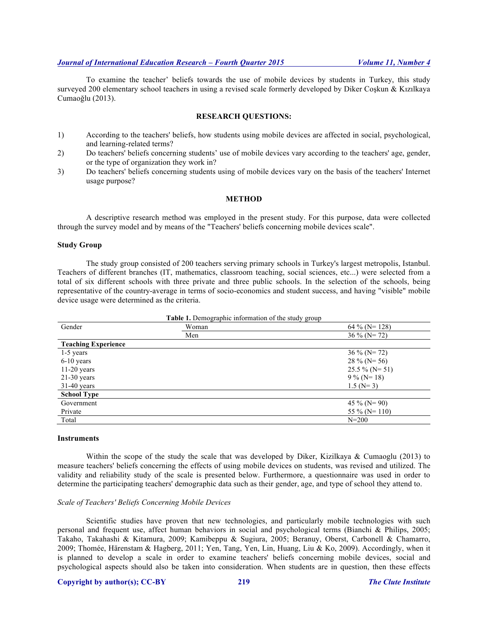To examine the teacher' beliefs towards the use of mobile devices by students in Turkey, this study surveyed 200 elementary school teachers in using a revised scale formerly developed by Diker Coskun & Kızılkaya Cumaoğlu (2013).

#### **RESEARCH QUESTIONS:**

- 1) According to the teachers' beliefs, how students using mobile devices are affected in social, psychological, and learning-related terms?
- 2) Do teachers' beliefs concerning students' use of mobile devices vary according to the teachers' age, gender, or the type of organization they work in?
- 3) Do teachers' beliefs concerning students using of mobile devices vary on the basis of the teachers' Internet usage purpose?

#### **METHOD**

A descriptive research method was employed in the present study. For this purpose, data were collected through the survey model and by means of the "Teachers' beliefs concerning mobile devices scale".

#### **Study Group**

The study group consisted of 200 teachers serving primary schools in Turkey's largest metropolis, Istanbul. Teachers of different branches (IT, mathematics, classroom teaching, social sciences, etc...) were selected from a total of six different schools with three private and three public schools. In the selection of the schools, being representative of the country-average in terms of socio-economics and student success, and having "visible" mobile device usage were determined as the criteria.

| Table 1. Demographic information of the study group |       |                    |  |  |  |
|-----------------------------------------------------|-------|--------------------|--|--|--|
| Gender                                              | Woman | 64 % ( $N = 128$ ) |  |  |  |
|                                                     | Men   | $36\%$ (N= 72)     |  |  |  |
| <b>Teaching Experience</b>                          |       |                    |  |  |  |
| $1-5$ years                                         |       | $36\%$ (N= 72)     |  |  |  |
| $6-10$ years                                        |       | $28\%$ (N= 56)     |  |  |  |
| $11-20$ years                                       |       | $25.5 \%$ (N= 51)  |  |  |  |
| $21-30$ years                                       |       | $9\%$ (N= 18)      |  |  |  |
| $31-40$ years                                       |       | $1.5$ (N= 3)       |  |  |  |
| <b>School Type</b>                                  |       |                    |  |  |  |
| Government                                          |       | 45 % (N= 90)       |  |  |  |
| Private                                             |       | 55 % ( $N = 110$ ) |  |  |  |
| Total                                               |       | $N = 200$          |  |  |  |

#### **Instruments**

Within the scope of the study the scale that was developed by Diker, Kizilkaya & Cumaoglu (2013) to measure teachers' beliefs concerning the effects of using mobile devices on students, was revised and utilized. The validity and reliability study of the scale is presented below. Furthermore, a questionnaire was used in order to determine the participating teachers' demographic data such as their gender, age, and type of school they attend to.

#### *Scale of Teachers' Beliefs Concerning Mobile Devices*

Scientific studies have proven that new technologies, and particularly mobile technologies with such personal and frequent use, affect human behaviors in social and psychological terms (Bianchi & Philips, 2005; Takaho, Takahashi & Kitamura, 2009; Kamibeppu & Sugiura, 2005; Beranuy, Oberst, Carbonell & Chamarro, 2009; Thomée, Härenstam & Hagberg, 2011; Yen, Tang, Yen, Lin, Huang, Liu & Ko, 2009). Accordingly, when it is planned to develop a scale in order to examine teachers' beliefs concerning mobile devices, social and psychological aspects should also be taken into consideration. When students are in question, then these effects

#### **Copyright by author(s); CC-BY 219** *The Clute Institute*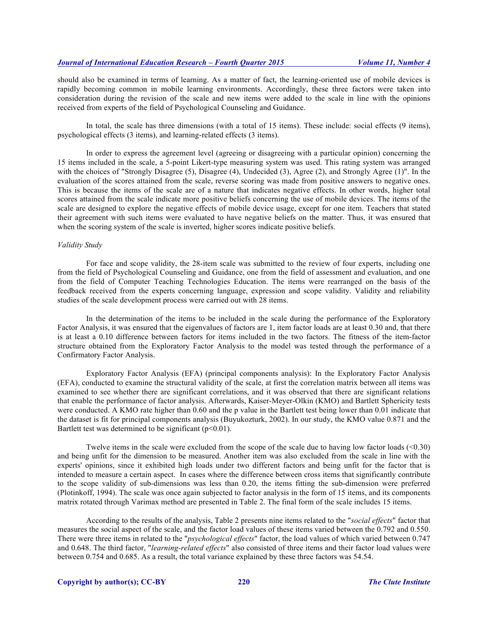should also be examined in terms of learning. As a matter of fact, the learning-oriented use of mobile devices is rapidly becoming common in mobile learning environments. Accordingly, these three factors were taken into consideration during the revision of the scale and new items were added to the scale in line with the opinions received from experts of the field of Psychological Counseling and Guidance.

In total, the scale has three dimensions (with a total of 15 items). These include: social effects (9 items), psychological effects (3 items), and learning-related effects (3 items).

In order to express the agreement level (agreeing or disagreeing with a particular opinion) concerning the 15 items included in the scale, a 5-point Likert-type measuring system was used. This rating system was arranged with the choices of "Strongly Disagree (5), Disagree (4), Undecided (3), Agree (2), and Strongly Agree (1)". In the evaluation of the scores attained from the scale, reverse scoring was made from positive answers to negative ones. This is because the items of the scale are of a nature that indicates negative effects. In other words, higher total scores attained from the scale indicate more positive beliefs concerning the use of mobile devices. The items of the scale are designed to explore the negative effects of mobile device usage, except for one item. Teachers that stated their agreement with such items were evaluated to have negative beliefs on the matter. Thus, it was ensured that when the scoring system of the scale is inverted, higher scores indicate positive beliefs.

#### *Validity Study*

For face and scope validity, the 28-item scale was submitted to the review of four experts, including one from the field of Psychological Counseling and Guidance, one from the field of assessment and evaluation, and one from the field of Computer Teaching Technologies Education. The items were rearranged on the basis of the feedback received from the experts concerning language, expression and scope validity. Validity and reliability studies of the scale development process were carried out with 28 items.

In the determination of the items to be included in the scale during the performance of the Exploratory Factor Analysis, it was ensured that the eigenvalues of factors are 1, item factor loads are at least 0.30 and, that there is at least a 0.10 difference between factors for items included in the two factors. The fitness of the item-factor structure obtained from the Exploratory Factor Analysis to the model was tested through the performance of a Confirmatory Factor Analysis.

Exploratory Factor Analysis (EFA) (principal components analysis): In the Exploratory Factor Analysis (EFA), conducted to examine the structural validity of the scale, at first the correlation matrix between all items was examined to see whether there are significant correlations, and it was observed that there are significant relations that enable the performance of factor analysis. Afterwards, Kaiser-Meyer-Olkin (KMO) and Bartlett Sphericity tests were conducted. A KMO rate higher than 0.60 and the p value in the Bartlett test being lower than 0.01 indicate that the dataset is fit for principal components analysis (Buyukozturk, 2002). In our study, the KMO value 0.871 and the Bartlett test was determined to be significant  $(p<0.01)$ .

Twelve items in the scale were excluded from the scope of the scale due to having low factor loads (<0.30) and being unfit for the dimension to be measured. Another item was also excluded from the scale in line with the experts' opinions, since it exhibited high loads under two different factors and being unfit for the factor that is intended to measure a certain aspect. In cases where the difference between cross items that significantly contribute to the scope validity of sub-dimensions was less than 0.20, the items fitting the sub-dimension were preferred (Plotinkoff, 1994). The scale was once again subjected to factor analysis in the form of 15 items, and its components matrix rotated through Varimax method are presented in Table 2. The final form of the scale includes 15 items.

According to the results of the analysis, Table 2 presents nine items related to the "*social effects*" factor that measures the social aspect of the scale, and the factor load values of these items varied between the 0.792 and 0.550. There were three items in related to the "*psychological effects*" factor, the load values of which varied between 0.747 and 0.648. The third factor, "*learning-related effects*" also consisted of three items and their factor load values were between 0.754 and 0.685. As a result, the total variance explained by these three factors was 54.54.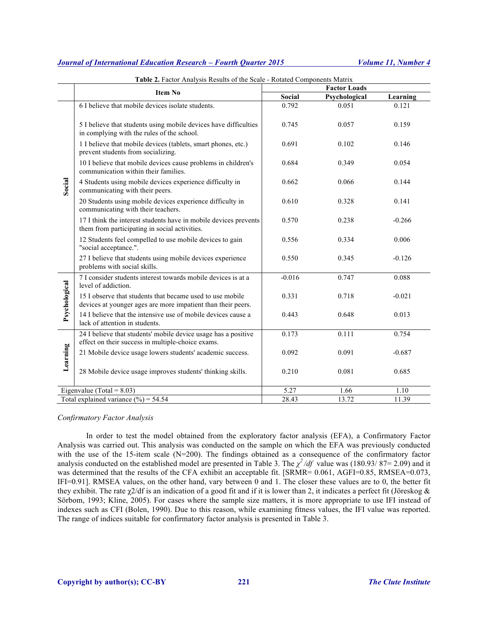|               | <b>Table 2.</b> Factor Analysis Results of the Scale - Rotated Components Matrix                                          |          | <b>Factor Loads</b> |          |
|---------------|---------------------------------------------------------------------------------------------------------------------------|----------|---------------------|----------|
|               | <b>Item No</b>                                                                                                            | Social   | Psychological       | Learning |
|               | 6 I believe that mobile devices isolate students.                                                                         | 0.792    | 0.051               | 0.121    |
|               | 5 I believe that students using mobile devices have difficulties<br>in complying with the rules of the school.            | 0.745    | 0.057               | 0.159    |
|               | 1 I believe that mobile devices (tablets, smart phones, etc.)<br>prevent students from socializing.                       | 0.691    | 0.102               | 0.146    |
|               | 10 I believe that mobile devices cause problems in children's<br>communication within their families.                     | 0.684    | 0.349               | 0.054    |
| Social        | 4 Students using mobile devices experience difficulty in<br>communicating with their peers.                               | 0.662    | 0.066               | 0.144    |
|               | 20 Students using mobile devices experience difficulty in<br>communicating with their teachers.                           | 0.610    | 0.328               | 0.141    |
|               | 17 I think the interest students have in mobile devices prevents<br>them from participating in social activities.         | 0.570    | 0.238               | $-0.266$ |
|               | 12 Students feel compelled to use mobile devices to gain<br>"social acceptance.".                                         | 0.556    | 0.334               | 0.006    |
|               | 27 I believe that students using mobile devices experience<br>problems with social skills.                                | 0.550    | 0.345               | $-0.126$ |
|               | 7 I consider students interest towards mobile devices is at a<br>level of addiction.                                      | $-0.016$ | 0.747               | 0.088    |
| Psychological | 15 I observe that students that became used to use mobile<br>devices at younger ages are more impatient than their peers. | 0.331    | 0.718               | $-0.021$ |
|               | 14 I believe that the intensive use of mobile devices cause a<br>lack of attention in students.                           | 0.443    | 0.648               | 0.013    |
|               | 24 I believe that students' mobile device usage has a positive<br>effect on their success in multiple-choice exams.       | 0.173    | 0.111               | 0.754    |
| Learning      | 21 Mobile device usage lowers students' academic success.                                                                 | 0.092    | 0.091               | $-0.687$ |
|               | 28 Mobile device usage improves students' thinking skills.                                                                | 0.210    | 0.081               | 0.685    |
|               | Eigenvalue (Total = $8.03$ )                                                                                              | 5.27     | 1.66                | 1.10     |
|               | Total explained variance $(\% ) = 54.54$                                                                                  | 28.43    | 13.72               | 11.39    |

**Table 2.** Factor Analysis Results of the Scale - Rotated Components Matrix

#### *Confirmatory Factor Analysis*

In order to test the model obtained from the exploratory factor analysis (EFA), a Confirmatory Factor Analysis was carried out. This analysis was conducted on the sample on which the EFA was previously conducted with the use of the 15-item scale (N=200). The findings obtained as a consequence of the confirmatory factor analysis conducted on the established model are presented in Table 3. The  $\chi^2/df$  value was (180.93/87= 2.09) and it was determined that the results of the CFA exhibit an acceptable fit. [SRMR= 0.061, AGFI=0.85, RMSEA=0.073, IFI=0.91]. RMSEA values, on the other hand, vary between 0 and 1. The closer these values are to 0, the better fit they exhibit. The rate  $\gamma$ 2/df is an indication of a good fit and if it is lower than 2, it indicates a perfect fit (Jöreskog & Sörbom, 1993; Kline, 2005). For cases where the sample size matters, it is more appropriate to use IFI instead of indexes such as CFI (Bolen, 1990). Due to this reason, while examining fitness values, the IFI value was reported. The range of indices suitable for confirmatory factor analysis is presented in Table 3.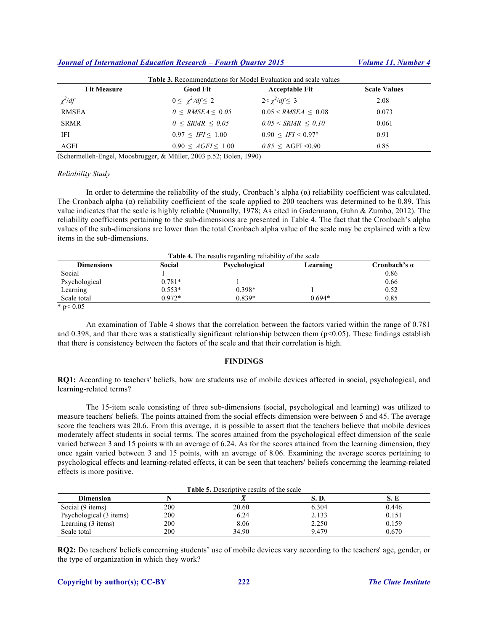| <b>Fit Measure</b> | <b>Good Fit</b>            | <b>Acceptable Fit</b>             | <b>Scale Values</b> |
|--------------------|----------------------------|-----------------------------------|---------------------|
| $\chi^2$ /df       | $0 \leq \chi^2/df \leq 2$  | $2 < \chi^2/df \leq 3$            | 2.08                |
| <b>RMSEA</b>       | $0 \leq RMSEA \leq 0.05$   | $0.05 \leq RMSEA \leq 0.08$       | 0.073               |
| <b>SRMR</b>        | $0 \leq$ SRMR $\leq 0.05$  | $0.05 \leq SRMR \leq 0.10$        | 0.061               |
| IFI                | $0.97 \leq IFI \leq 1.00$  | $0.90 \leq IFI \leq 0.97^{\circ}$ | 0.91                |
| AGFI               | $0.90 \leq AGFI \leq 1.00$ | $0.85 \leq \text{AGFI} \leq 0.90$ | 0.85                |

(Schermelleh-Engel, Moosbrugger, & Müller, 2003 p.52; Bolen, 1990)

#### *Reliability Study*

In order to determine the reliability of the study, Cronbach's alpha  $(\alpha)$  reliability coefficient was calculated. The Cronbach alpha  $(\alpha)$  reliability coefficient of the scale applied to 200 teachers was determined to be 0.89. This value indicates that the scale is highly reliable (Nunnally, 1978; As cited in Gadermann, Guhn & Zumbo, 2012). The reliability coefficients pertaining to the sub-dimensions are presented in Table 4. The fact that the Cronbach's alpha values of the sub-dimensions are lower than the total Cronbach alpha value of the scale may be explained with a few items in the sub-dimensions.

| <b>Table 4.</b> The results regarding reliability of the scale |          |               |          |              |  |  |  |  |
|----------------------------------------------------------------|----------|---------------|----------|--------------|--|--|--|--|
| <b>Dimensions</b>                                              | Social   | Psychological | Learning | Cronbach's a |  |  |  |  |
| Social                                                         |          |               |          | 0.86         |  |  |  |  |
| Psychological                                                  | $0.781*$ |               |          | 0.66         |  |  |  |  |
| Learning                                                       | $0.553*$ | $0.398*$      |          | 0.52         |  |  |  |  |
| Scale total                                                    | $0.972*$ | $0.839*$      | $0.694*$ | 0.85         |  |  |  |  |

 $*$  p< 0.05

An examination of Table 4 shows that the correlation between the factors varied within the range of 0.781 and 0.398, and that there was a statistically significant relationship between them  $(p<0.05)$ . These findings establish that there is consistency between the factors of the scale and that their correlation is high.

#### **FINDINGS**

**RQ1:** According to teachers' beliefs, how are students use of mobile devices affected in social, psychological, and learning-related terms?

The 15-item scale consisting of three sub-dimensions (social, psychological and learning) was utilized to measure teachers' beliefs. The points attained from the social effects dimension were between 5 and 45. The average score the teachers was 20.6. From this average, it is possible to assert that the teachers believe that mobile devices moderately affect students in social terms. The scores attained from the psychological effect dimension of the scale varied between 3 and 15 points with an average of 6.24. As for the scores attained from the learning dimension, they once again varied between 3 and 15 points, with an average of 8.06. Examining the average scores pertaining to psychological effects and learning-related effects, it can be seen that teachers' beliefs concerning the learning-related effects is more positive.

| <b>Table 5.</b> Descriptive results of the scale |     |       |       |       |  |  |  |  |
|--------------------------------------------------|-----|-------|-------|-------|--|--|--|--|
| <b>Dimension</b>                                 |     |       | S. D. | S.E   |  |  |  |  |
| Social (9 items)                                 | 200 | 20.60 | 6.304 | 0.446 |  |  |  |  |
| Psychological (3 items)                          | 200 | 6.24  | 2.133 | 0.151 |  |  |  |  |
| Learning (3 items)                               | 200 | 8.06  | 2.250 | 0.159 |  |  |  |  |
| Scale total                                      | 200 | 34.90 | 9.479 | 0.670 |  |  |  |  |

**RQ2:** Do teachers' beliefs concerning students' use of mobile devices vary according to the teachers' age, gender, or the type of organization in which they work?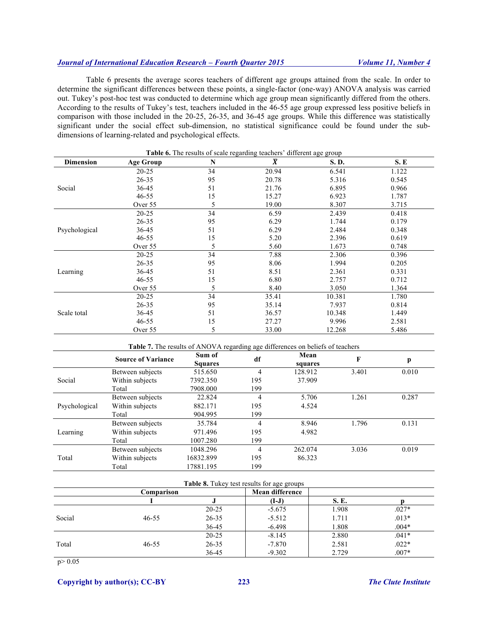Table 6 presents the average scores teachers of different age groups attained from the scale. In order to determine the significant differences between these points, a single-factor (one-way) ANOVA analysis was carried out. Tukey's post-hoc test was conducted to determine which age group mean significantly differed from the others. According to the results of Tukey's test, teachers included in the 46-55 age group expressed less positive beliefs in comparison with those included in the 20-25, 26-35, and 36-45 age groups. While this difference was statistically significant under the social effect sub-dimension, no statistical significance could be found under the subdimensions of learning-related and psychological effects.

| <b>Table 6.</b> The results of scale regarding teachers' different age group |                  |    |                |        |       |  |  |
|------------------------------------------------------------------------------|------------------|----|----------------|--------|-------|--|--|
| <b>Dimension</b>                                                             | <b>Age Group</b> | N  | $\overline{X}$ | S.D.   | S. E  |  |  |
|                                                                              | $20 - 25$        | 34 | 20.94          | 6.541  | 1.122 |  |  |
|                                                                              | $26 - 35$        | 95 | 20.78          | 5.316  | 0.545 |  |  |
| Social                                                                       | 36-45            | 51 | 21.76          | 6.895  | 0.966 |  |  |
|                                                                              | $46 - 55$        | 15 | 15.27          | 6.923  | 1.787 |  |  |
|                                                                              | Over 55          | 5  | 19.00          | 8.307  | 3.715 |  |  |
|                                                                              | $20 - 25$        | 34 | 6.59           | 2.439  | 0.418 |  |  |
|                                                                              | $26 - 35$        | 95 | 6.29           | 1.744  | 0.179 |  |  |
| Psychological                                                                | 36-45            | 51 | 6.29           | 2.484  | 0.348 |  |  |
|                                                                              | $46 - 55$        | 15 | 5.20           | 2.396  | 0.619 |  |  |
|                                                                              | Over 55          | 5  | 5.60           | 1.673  | 0.748 |  |  |
|                                                                              | $20 - 25$        | 34 | 7.88           | 2.306  | 0.396 |  |  |
|                                                                              | $26 - 35$        | 95 | 8.06           | 1.994  | 0.205 |  |  |
| Learning                                                                     | 36-45            | 51 | 8.51           | 2.361  | 0.331 |  |  |
|                                                                              | $46 - 55$        | 15 | 6.80           | 2.757  | 0.712 |  |  |
|                                                                              | Over 55          | 5  | 8.40           | 3.050  | 1.364 |  |  |
|                                                                              | $20 - 25$        | 34 | 35.41          | 10.381 | 1.780 |  |  |
|                                                                              | $26 - 35$        | 95 | 35.14          | 7.937  | 0.814 |  |  |
| Scale total                                                                  | 36-45            | 51 | 36.57          | 10.348 | 1.449 |  |  |
|                                                                              | $46 - 55$        | 15 | 27.27          | 9.996  | 2.581 |  |  |
|                                                                              | Over 55          | 5  | 33.00          | 12.268 | 5.486 |  |  |

**Table 7.** The results of ANOVA regarding age differences on beliefs of teachers

|               | <b>Source of Variance</b> | Sum of<br><b>Squares</b> | df             | Mean<br>squares | F     | p     |
|---------------|---------------------------|--------------------------|----------------|-----------------|-------|-------|
|               | Between subjects          | 515.650                  | 4              | 128.912         | 3.401 | 0.010 |
| Social        | Within subjects           | 7392.350                 | 195            | 37.909          |       |       |
|               | Total                     | 7908.000                 | 199            |                 |       |       |
| Psychological | Between subjects          | 22.824                   | $\overline{4}$ | 5.706           | 1.261 | 0.287 |
|               | Within subjects           | 882.171                  | 195            | 4.524           |       |       |
|               | Total                     | 904.995                  | 199            |                 |       |       |
|               | Between subjects          | 35.784                   | $\overline{4}$ | 8.946           | 1.796 | 0.131 |
| Learning      | Within subjects           | 971.496                  | 195            | 4.982           |       |       |
|               | Total                     | 1007.280                 | 199            |                 |       |       |
| Total         | Between subjects          | 1048.296                 | $\overline{4}$ | 262.074         | 3.036 | 0.019 |
|               | Within subjects           | 16832.899                | 195            | 86.323          |       |       |
|               | Total                     | 17881.195                | 199            |                 |       |       |

|        | <b>Table 8.</b> Tukey test results for age groups |           |                 |             |         |  |  |  |  |
|--------|---------------------------------------------------|-----------|-----------------|-------------|---------|--|--|--|--|
|        | Comparison                                        |           | Mean difference |             |         |  |  |  |  |
|        |                                                   |           | (I-J)           | <b>S.E.</b> |         |  |  |  |  |
|        |                                                   | $20 - 25$ | $-5.675$        | 1.908       | $.027*$ |  |  |  |  |
| Social | $46 - 55$                                         | $26 - 35$ | $-5.512$        | 1.711       | $.013*$ |  |  |  |  |
|        |                                                   | 36-45     | $-6.498$        | 1.808       | $.004*$ |  |  |  |  |
|        |                                                   | $20 - 25$ | $-8.145$        | 2.880       | $.041*$ |  |  |  |  |
| Total  | $46 - 55$                                         | $26 - 35$ | $-7.870$        | 2.581       | $.022*$ |  |  |  |  |
|        |                                                   | 36-45     | $-9.302$        | 2.729       | $.007*$ |  |  |  |  |

p> 0.05

**Copyright by author(s); CC-BY 223** *The Clute Institute*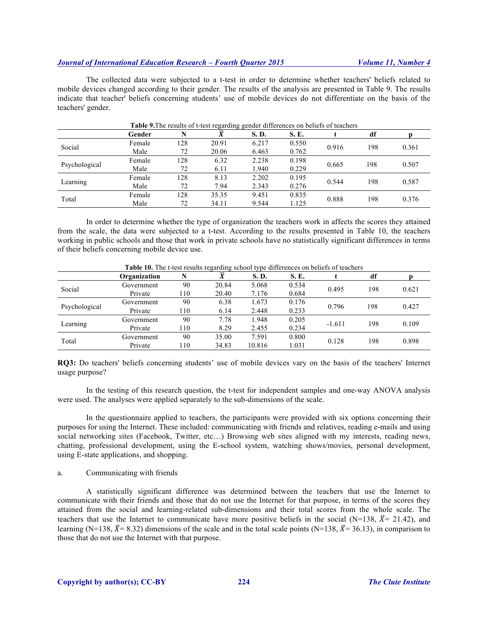The collected data were subjected to a t-test in order to determine whether teachers' beliefs related to mobile devices changed according to their gender. The results of the analysis are presented in Table 9. The results indicate that teacher' beliefs concerning students' use of mobile devices do not differentiate on the basis of the teachers' gender.

|               | <b>Table 9.</b> The results of t-test regarding gender differences on beliefs of teachers |     |       |       |       |       |     |       |
|---------------|-------------------------------------------------------------------------------------------|-----|-------|-------|-------|-------|-----|-------|
|               | Gender                                                                                    |     |       | S.D.  | S. E. |       | df  |       |
| Social        | Female                                                                                    | 128 | 20.91 | 6.217 | 0.550 | 0.916 | 198 | 0.361 |
|               | Male                                                                                      | 72  | 20.06 | 6.463 | 0.762 |       |     |       |
|               | Female                                                                                    | 128 | 6.32  | 2.238 | 0.198 | 0.665 | 198 | 0.507 |
| Psychological | Male                                                                                      | 72  | 6.11  | 1.940 | 0.229 |       |     |       |
|               | Female                                                                                    | 128 | 8.13  | 2.202 | 0.195 |       |     | 0.587 |
| Learning      | Male                                                                                      | 72  | 7.94  | 2.343 | 0.276 | 0.544 | 198 |       |
|               | Female                                                                                    | 128 | 35.35 | 9.451 | 0.835 |       |     |       |
| Total         | Male                                                                                      | 72  | 34.11 | 9.544 | 1.125 | 0.888 | 198 | 0.376 |

**O** The results of t-test regarding general differences on beliefs of the beliefs of the beliefs of teachers

In order to determine whether the type of organization the teachers work in affects the scores they attained from the scale, the data were subjected to a t-test. According to the results presented in Table 10, the teachers working in public schools and those that work in private schools have no statistically significant differences in terms of their beliefs concerning mobile device use.

|               | Organization |     |       | S.D.   | S. E. |          | df  |       |
|---------------|--------------|-----|-------|--------|-------|----------|-----|-------|
| Social        | Government   | 90  | 20.84 | 5.068  | 0.534 | 0.495    | 198 | 0.621 |
|               | Private      | 110 | 20.40 | 7.176  | 0.684 |          |     |       |
| Psychological | Government   | 90  | 6.38  | 1.673  | 0.176 |          | 198 | 0.427 |
|               | Private      | 110 | 6.14  | 2.448  | 0.233 | 0.796    |     |       |
|               | Government   | 90  | 7.78  | 1.948  | 0.205 | $-1.611$ | 198 | 0.109 |
| Learning      | Private      | 110 | 8.29  | 2.455  | 0.234 |          |     |       |
| Total         | Government   | 90  | 35.00 | 7.591  | 0.800 |          |     | 0.898 |
|               | Private      | 110 | 34.83 | 10.816 | 1.031 | 0.128    | 198 |       |

|  | Table 10. The t-test results regarding school type differences on beliefs of teachers |
|--|---------------------------------------------------------------------------------------|
|  |                                                                                       |

**RQ3:** Do teachers' beliefs concerning students' use of mobile devices vary on the basis of the teachers' Internet usage purpose?

In the testing of this research question, the t-test for independent samples and one-way ANOVA analysis were used. The analyses were applied separately to the sub-dimensions of the scale.

In the questionnaire applied to teachers, the participants were provided with six options concerning their purposes for using the Internet. These included: communicating with friends and relatives, reading e-mails and using social networking sites (Facebook, Twitter, etc…) Browsing web sites aligned with my interests, reading news, chatting, professional development, using the E-school system, watching shows/movies, personal development, using E-state applications, and shopping.

#### a. Communicating with friends

A statistically significant difference was determined between the teachers that use the Internet to communicate with their friends and those that do not use the Internet for that purpose, in terms of the scores they attained from the social and learning-related sub-dimensions and their total scores from the whole scale. The teachers that use the Internet to communicate have more positive beliefs in the social (N=138,  $\bar{X}$ = 21.42), and learning (N=138,  $\bar{X}$ = 8.32) dimensions of the scale and in the total scale points (N=138,  $\bar{X}$ = 36.13), in comparison to those that do not use the Internet with that purpose.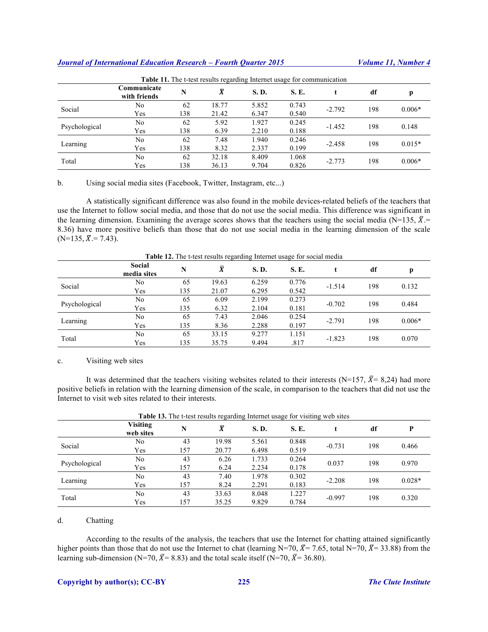| <b>Table 11.</b> The t-test results regarding Internet usage for communication |                             |     |                |       |             |          |     |          |  |
|--------------------------------------------------------------------------------|-----------------------------|-----|----------------|-------|-------------|----------|-----|----------|--|
|                                                                                | Communicate<br>with friends | N   | $\overline{X}$ | S.D.  | <b>S.E.</b> |          | df  | p        |  |
| Social                                                                         | No                          | 62  | 18.77          | 5.852 | 0.743       |          | 198 | $0.006*$ |  |
|                                                                                | Yes                         | 138 | 21.42          | 6.347 | 0.540       | $-2.792$ |     |          |  |
|                                                                                | No                          | 62  | 5.92           | 1.927 | 0.245       |          | 198 | 0.148    |  |
| Psychological                                                                  | Yes                         | 138 | 6.39           | 2.210 | 0.188       | $-1.452$ |     |          |  |
|                                                                                | No                          | 62  | 7.48           | 1.940 | 0.246       |          |     |          |  |
| Learning                                                                       | Yes                         | 138 | 8.32           | 2.337 | 0.199       | $-2.458$ | 198 | $0.015*$ |  |
| Total                                                                          | No                          | 62  | 32.18          | 8.409 | 1.068       |          |     |          |  |
|                                                                                | Yes                         | 138 | 36.13          | 9.704 | 0.826       | $-2.773$ | 198 | $0.006*$ |  |

b. Using social media sites (Facebook, Twitter, Instagram, etc...)

A statistically significant difference was also found in the mobile devices-related beliefs of the teachers that use the Internet to follow social media, and those that do not use the social media. This difference was significant in the learning dimension. Examining the average scores shows that the teachers using the social media (N=135,  $\bar{X}$ .= 8.36) have more positive beliefs than those that do not use social media in the learning dimension of the scale  $(N=135, \overline{X}) = 7.43$ .

|--|

|               | Social<br>media sites | N   | $\bar{X}$ | S.D.  | <b>S.E.</b> |          | df  |          |
|---------------|-----------------------|-----|-----------|-------|-------------|----------|-----|----------|
| Social        | No                    | 65  | 19.63     | 6.259 | 0.776       | $-1.514$ | 198 | 0.132    |
|               | Yes                   | 135 | 21.07     | 6.295 | 0.542       |          |     |          |
| Psychological | No                    | 65  | 6.09      | 2.199 | 0.273       | $-0.702$ | 198 | 0.484    |
|               | Yes                   | 135 | 6.32      | 2.104 | 0.181       |          |     |          |
| Learning      | No                    | 65  | 7.43      | 2.046 | 0.254       | $-2.791$ | 198 | $0.006*$ |
|               | Yes                   | 135 | 8.36      | 2.288 | 0.197       |          |     |          |
| Total         | No                    | 65  | 33.15     | 9.277 | 1.151       | $-1.823$ | 198 | 0.070    |
|               | Yes                   | 135 | 35.75     | 9.494 | .817        |          |     |          |

#### c. Visiting web sites

It was determined that the teachers visiting websites related to their interests (N=157,  $\bar{X}$ = 8,24) had more positive beliefs in relation with the learning dimension of the scale, in comparison to the teachers that did not use the Internet to visit web sites related to their interests.

| <b>Table 13.</b> The t-test results regarding Internet usage for visiting web sites |                              |     |           |             |       |          |     |          |  |
|-------------------------------------------------------------------------------------|------------------------------|-----|-----------|-------------|-------|----------|-----|----------|--|
|                                                                                     | <b>Visiting</b><br>web sites | N   | $\bar{X}$ | <b>S.D.</b> | S. E. |          | df  | P        |  |
| Social                                                                              | No                           | 43  | 19.98     | 5.561       | 0.848 | $-0.731$ | 198 | 0.466    |  |
|                                                                                     | Yes                          | 157 | 20.77     | 6.498       | 0.519 |          |     |          |  |
| Psychological                                                                       | No                           | 43  | 6.26      | 1.733       | 0.264 | 0.037    | 198 | 0.970    |  |
|                                                                                     | Yes                          | 157 | 6.24      | 2.234       | 0.178 |          |     |          |  |
| Learning                                                                            | No                           | 43  | 7.40      | 1.978       | 0.302 | $-2.208$ | 198 | $0.028*$ |  |
|                                                                                     | Yes                          | 157 | 8.24      | 2.291       | 0.183 |          |     |          |  |
| Total                                                                               | No                           | 43  | 33.63     | 8.048       | 1.227 |          | 198 | 0.320    |  |
|                                                                                     | Yes                          | 157 | 35.25     | 9.829       | 0.784 | $-0.997$ |     |          |  |

# **Table 13.** The t-test results regarding Internet usage for visiting web sites

#### d. Chatting

According to the results of the analysis, the teachers that use the Internet for chatting attained significantly higher points than those that do not use the Internet to chat (learning N=70,  $\bar{X}$ = 7.65, total N=70,  $\bar{X}$ = 33.88) from the learning sub-dimension (N=70,  $\bar{X}$ = 8.83) and the total scale itself (N=70,  $\bar{X}$ = 36.80).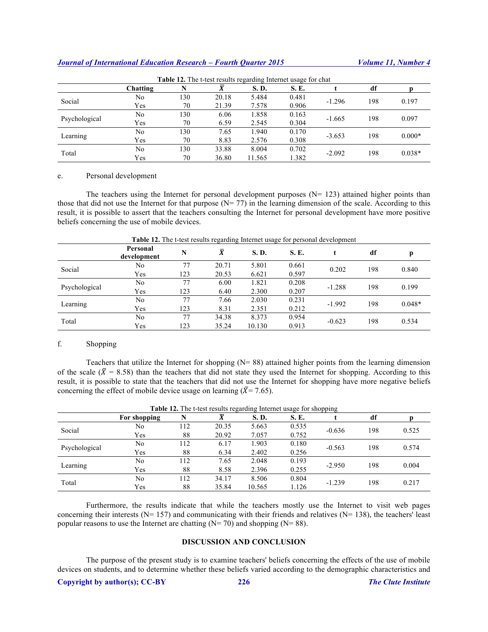| <b>Table 12.</b> The t-test results regarding Internet usage for chat |          |     |       |        |       |          |     |          |  |
|-----------------------------------------------------------------------|----------|-----|-------|--------|-------|----------|-----|----------|--|
|                                                                       | Chatting |     |       | S.D.   | S. E. |          | df  |          |  |
| Social                                                                | No       | 130 | 20.18 | 5.484  | 0.481 | $-1.296$ | 198 | 0.197    |  |
|                                                                       | Yes      | 70  | 21.39 | 7.578  | 0.906 |          |     |          |  |
|                                                                       | No       | 130 | 6.06  | 1.858  | 0.163 | $-1.665$ | 198 | 0.097    |  |
| Psychological                                                         | Yes      | 70  | 6.59  | 2.545  | 0.304 |          |     |          |  |
|                                                                       | No       | 130 | 7.65  | 1.940  | 0.170 | $-3.653$ | 198 | $0.000*$ |  |
| Learning                                                              | Yes      | 70  | 8.83  | 2.576  | 0.308 |          |     |          |  |
| Total                                                                 | No       | 130 | 33.88 | 8.004  | 0.702 |          |     |          |  |
|                                                                       | Yes      | 70  | 36.80 | 11.565 | 1.382 | $-2.092$ | 198 | $0.038*$ |  |

#### e. Personal development

The teachers using the Internet for personal development purposes  $(N= 123)$  attained higher points than those that did not use the Internet for that purpose  $(N= 77)$  in the learning dimension of the scale. According to this result, it is possible to assert that the teachers consulting the Internet for personal development have more positive beliefs concerning the use of mobile devices.

|               | Personal<br>development | N   |       | <b>S.D.</b> | <b>S.E.</b> |          | df  | р        |
|---------------|-------------------------|-----|-------|-------------|-------------|----------|-----|----------|
| Social        | No                      | 77  | 20.71 | 5.801       | 0.661       | 0.202    | 198 | 0.840    |
|               | Yes                     | 123 | 20.53 | 6.621       | 0.597       |          |     |          |
| Psychological | N <sub>0</sub>          | 77  | 6.00  | 1.821       | 0.208       | $-1.288$ | 198 | 0.199    |
|               | Yes                     | 123 | 6.40  | 2.300       | 0.207       |          |     |          |
| Learning      | No                      | 77  | 7.66  | 2.030       | 0.231       | $-1.992$ | 198 | $0.048*$ |
|               | Yes                     | 123 | 8.31  | 2.351       | 0.212       |          |     |          |
| Total         | No                      | 77  | 34.38 | 8.373       | 0.954       |          | 198 | 0.534    |
|               | Yes                     | 123 | 35.24 | 10.130      | 0.913       | $-0.623$ |     |          |

# **Table 12.** The t-test results regarding Internet usage for personal development

### f. Shopping

Teachers that utilize the Internet for shopping  $(N= 88)$  attained higher points from the learning dimension of the scale ( $\bar{X}$  = 8.58) than the teachers that did not state they used the Internet for shopping. According to this result, it is possible to state that the teachers that did not use the Internet for shopping have more negative beliefs concerning the effect of mobile device usage on learning ( $\bar{X}$ = 7.65).

| <b>Table 12.</b> The t-test results regarding Internet usage for shopping |              |     |       |             |       |          |     |       |  |
|---------------------------------------------------------------------------|--------------|-----|-------|-------------|-------|----------|-----|-------|--|
|                                                                           | For shopping |     | v     | <b>S.D.</b> | S. E. |          | df  |       |  |
| Social                                                                    | No           | 112 | 20.35 | 5.663       | 0.535 | $-0.636$ | 198 | 0.525 |  |
|                                                                           | Yes          | 88  | 20.92 | 7.057       | 0.752 |          |     |       |  |
| Psychological                                                             | No           | 112 | 6.17  | 1.903       | 0.180 | $-0.563$ | 198 | 0.574 |  |
|                                                                           | Yes          | 88  | 6.34  | 2.402       | 0.256 |          |     |       |  |
| Learning                                                                  | No           | 112 | 7.65  | 2.048       | 0.193 | $-2.950$ | 198 | 0.004 |  |
|                                                                           | Yes          | 88  | 8.58  | 2.396       | 0.255 |          |     |       |  |
| Total                                                                     | No           | 112 | 34.17 | 8.506       | 0.804 |          |     |       |  |
|                                                                           | Yes          | 88  | 35.84 | 10.565      | 1.126 | $-1.239$ | 198 | 0.217 |  |

Furthermore, the results indicate that while the teachers mostly use the Internet to visit web pages concerning their interests ( $N= 157$ ) and communicating with their friends and relatives ( $N= 138$ ), the teachers' least popular reasons to use the Internet are chatting  $(N= 70)$  and shopping  $(N= 88)$ .

#### **DISCUSSION AND CONCLUSION**

The purpose of the present study is to examine teachers' beliefs concerning the effects of the use of mobile devices on students, and to determine whether these beliefs varied according to the demographic characteristics and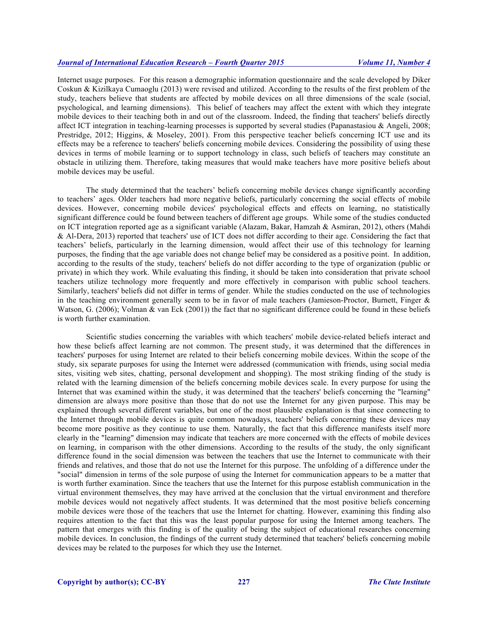Internet usage purposes. For this reason a demographic information questionnaire and the scale developed by Diker Coskun & Kizilkaya Cumaoglu (2013) were revised and utilized. According to the results of the first problem of the study, teachers believe that students are affected by mobile devices on all three dimensions of the scale (social, psychological, and learning dimensions). This belief of teachers may affect the extent with which they integrate mobile devices to their teaching both in and out of the classroom. Indeed, the finding that teachers' beliefs directly affect ICT integration in teaching-learning processes is supported by several studies (Papanastasiou & Angeli, 2008; Prestridge, 2012; Higgins, & Moseley, 2001). From this perspective teacher beliefs concerning ICT use and its effects may be a reference to teachers' beliefs concerning mobile devices. Considering the possibility of using these devices in terms of mobile learning or to support technology in class, such beliefs of teachers may constitute an obstacle in utilizing them. Therefore, taking measures that would make teachers have more positive beliefs about mobile devices may be useful.

The study determined that the teachers' beliefs concerning mobile devices change significantly according to teachers' ages. Older teachers had more negative beliefs, particularly concerning the social effects of mobile devices. However, concerning mobile devices' psychological effects and effects on learning, no statistically significant difference could be found between teachers of different age groups. While some of the studies conducted on ICT integration reported age as a significant variable (Alazam, Bakar, Hamzah & Asmiran, 2012), others (Mahdi & Al-Dera, 2013) reported that teachers' use of ICT does not differ according to their age. Considering the fact that teachers' beliefs, particularly in the learning dimension, would affect their use of this technology for learning purposes, the finding that the age variable does not change belief may be considered as a positive point. In addition, according to the results of the study, teachers' beliefs do not differ according to the type of organization (public or private) in which they work. While evaluating this finding, it should be taken into consideration that private school teachers utilize technology more frequently and more effectively in comparison with public school teachers. Similarly, teachers' beliefs did not differ in terms of gender. While the studies conducted on the use of technologies in the teaching environment generally seem to be in favor of male teachers (Jamieson-Proctor, Burnett, Finger  $\&$ Watson, G. (2006); Volman  $\&$  van Eck (2001)) the fact that no significant difference could be found in these beliefs is worth further examination.

Scientific studies concerning the variables with which teachers' mobile device-related beliefs interact and how these beliefs affect learning are not common. The present study, it was determined that the differences in teachers' purposes for using Internet are related to their beliefs concerning mobile devices. Within the scope of the study, six separate purposes for using the Internet were addressed (communication with friends, using social media sites, visiting web sites, chatting, personal development and shopping). The most striking finding of the study is related with the learning dimension of the beliefs concerning mobile devices scale. In every purpose for using the Internet that was examined within the study, it was determined that the teachers' beliefs concerning the "learning" dimension are always more positive than those that do not use the Internet for any given purpose. This may be explained through several different variables, but one of the most plausible explanation is that since connecting to the Internet through mobile devices is quite common nowadays, teachers' beliefs concerning these devices may become more positive as they continue to use them. Naturally, the fact that this difference manifests itself more clearly in the "learning" dimension may indicate that teachers are more concerned with the effects of mobile devices on learning, in comparison with the other dimensions. According to the results of the study, the only significant difference found in the social dimension was between the teachers that use the Internet to communicate with their friends and relatives, and those that do not use the Internet for this purpose. The unfolding of a difference under the "social" dimension in terms of the sole purpose of using the Internet for communication appears to be a matter that is worth further examination. Since the teachers that use the Internet for this purpose establish communication in the virtual environment themselves, they may have arrived at the conclusion that the virtual environment and therefore mobile devices would not negatively affect students. It was determined that the most positive beliefs concerning mobile devices were those of the teachers that use the Internet for chatting. However, examining this finding also requires attention to the fact that this was the least popular purpose for using the Internet among teachers. The pattern that emerges with this finding is of the quality of being the subject of educational researches concerning mobile devices. In conclusion, the findings of the current study determined that teachers' beliefs concerning mobile devices may be related to the purposes for which they use the Internet.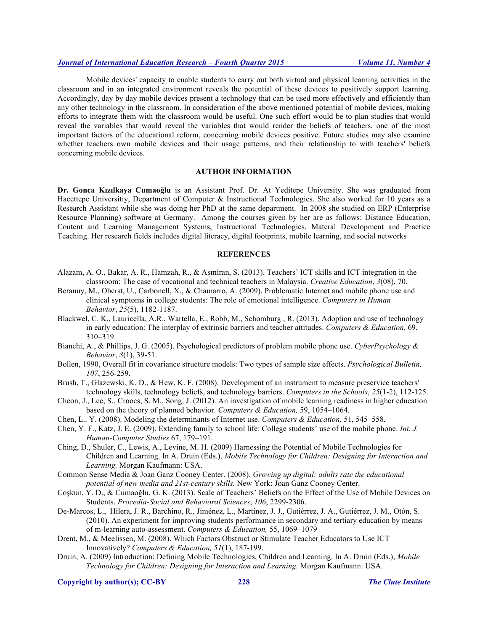Mobile devices' capacity to enable students to carry out both virtual and physical learning activities in the classroom and in an integrated environment reveals the potential of these devices to positively support learning. Accordingly, day by day mobile devices present a technology that can be used more effectively and efficiently than any other technology in the classroom. In consideration of the above mentioned potential of mobile devices, making efforts to integrate them with the classroom would be useful. One such effort would be to plan studies that would reveal the variables that would reveal the variables that would render the beliefs of teachers, one of the most important factors of the educational reform, concerning mobile devices positive. Future studies may also examine whether teachers own mobile devices and their usage patterns, and their relationship to with teachers' beliefs concerning mobile devices.

# **AUTHOR INFORMATION**

**Dr. Gonca Kızılkaya Cumaoğlu** is an Assistant Prof. Dr. At Yeditepe University. She was graduated from Hacettepe Universitiy, Department of Computer & Instructional Technologies. She also worked for 10 years as a Research Assistant while she was doing her PhD at the same department. In 2008 she studied on ERP (Enterprise Resource Planning) software at Germany. Among the courses given by her are as follows: Distance Education, Content and Learning Management Systems, Instructional Technologies, Materal Development and Practice Teaching. Her research fields includes digital literacy, digital footprints, mobile learning, and social networks

#### **REFERENCES**

- Alazam, A. O., Bakar, A. R., Hamzah, R., & Asmiran, S. (2013). Teachers' ICT skills and ICT integration in the classroom: The case of vocational and technical teachers in Malaysia. *Creative Education*, *3*(08), 70.
- Beranuy, M., Oberst, U., Carbonell, X., & Chamarro, A. (2009). Problematic Internet and mobile phone use and clinical symptoms in college students: The role of emotional intelligence. *Computers in Human Behavior*, *25*(5), 1182-1187.
- Blackwel, C. K., Lauricella, A.R., Wartella, E., Robb, M., Schomburg , R. (2013). Adoption and use of technology in early education: The interplay of extrinsic barriers and teacher attitudes. *Computers & Education,* 69, 310–319.
- Bianchi, A., & Phillips, J. G. (2005). Psychological predictors of problem mobile phone use. *CyberPsychology & Behavior*, *8*(1), 39-51.
- Bollen, 1990, Overall fit in covariance structure models: Two types of sample size effects. *Psychological Bulletin, 107*, 256-259.
- Brush, T., Glazewski, K. D., & Hew, K. F. (2008). Development of an instrument to measure preservice teachers' technology skills, technology beliefs, and technology barriers. *Computers in the Schools*, *25*(1-2), 112-125.
- Cheon, J., Lee, S., Croocs, S. M., Song, J. (2012). An investigation of mobile learning readiness in higher education based on the theory of planned behavior. *Computers & Education,* 59, 1054–1064.
- Chen, L.. Y. (2008). Modeling the determinants of Internet use. *Computers & Education,* 51, 545–558.
- Chen, Y. F., Katz, J. E. (2009). Extending family to school life: College students' use of the mobile phone. *Int. J. Human-Computer Studies* 67, 179–191.
- Ching, D., Shuler, C., Lewis, A., Levine, M. H. (2009) Harnessing the Potential of Mobile Technologies for Children and Learning. In A. Druin (Eds.), *Mobile Technology for Children: Designing for Interaction and Learning.* Morgan Kaufmann: USA.
- Common Sense Media & Joan Ganz Cooney Center. (2008). *Growing up digital: adults rate the educational potential of new media and 21st-century skills.* New York: Joan Ganz Cooney Center.
- Coşkun, Y. D., & Cumaoğlu, G. K. (2013). Scale of Teachers' Beliefs on the Effect of the Use of Mobile Devices on Students. *Procedia-Social and Behavioral Sciences*, *106*, 2299-2306.
- De-Marcos, L., Hilera, J. R., Barchino, R., Jiménez, L., Martínez, J. J., Gutiérrez, J. A., Gutiérrez, J. M., Otón, S. (2010). An experiment for improving students performance in secondary and tertiary education by means of m-learning auto-assessment. *Computers & Education,* 55, 1069–1079
- Drent, M., & Meelissen, M. (2008). Which Factors Obstruct or Stimulate Teacher Educators to Use ICT Innovatively? *Computers & Education, 51*(1), 187-199.
- Druin, A. (2009) Introduction: Defining Mobile Technologies, Children and Learning. In A. Druin (Eds.), *Mobile Technology for Children: Designing for Interaction and Learning.* Morgan Kaufmann: USA.

**Copyright by author(s); CC-BY 228** *The Clute Institute*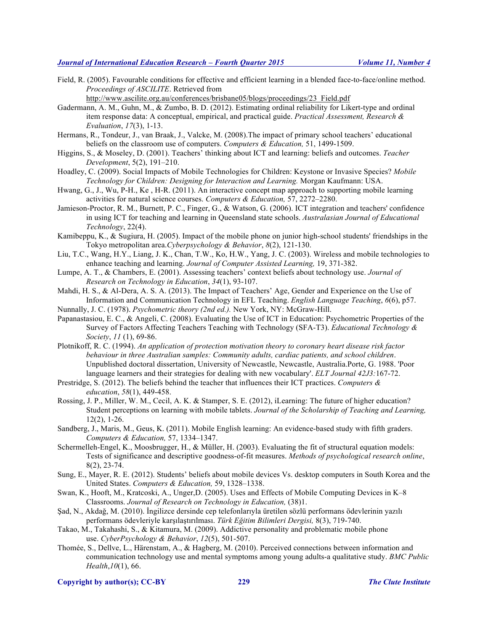Field, R. (2005). Favourable conditions for effective and efficient learning in a blended face-to-face/online method. *Proceedings of ASCILITE*. Retrieved from

http://www.ascilite.org.au/conferences/brisbane05/blogs/proceedings/23\_Field.pdf

- Gadermann, A. M., Guhn, M., & Zumbo, B. D. (2012). Estimating ordinal reliability for Likert-type and ordinal item response data: A conceptual, empirical, and practical guide. *Practical Assessment, Research & Evaluation*, *17*(3), 1-13.
- Hermans, R., Tondeur, J., van Braak, J., Valcke, M. (2008).The impact of primary school teachers' educational beliefs on the classroom use of computers. *Computers & Education,* 51, 1499-1509.
- Higgins, S., & Moseley, D. (2001). Teachers' thinking about ICT and learning: beliefs and outcomes. *Teacher Development*, 5(2), 191–210.
- Hoadley, C. (2009). Social Impacts of Mobile Technologies for Children: Keystone or Invasive Species? *Mobile Technology for Children: Designing for Interaction and Learning.* Morgan Kaufmann: USA.
- Hwang, G., J., Wu, P-H., Ke , H-R. (2011). An interactive concept map approach to supporting mobile learning activities for natural science courses. *Computers & Education,* 57, 2272–2280.
- Jamieson-Proctor, R. M., Burnett, P. C., Finger, G., & Watson, G. (2006). ICT integration and teachers' confidence in using ICT for teaching and learning in Queensland state schools. *Australasian Journal of Educational Technology*, 22(4).
- Kamibeppu, K., & Sugiura, H. (2005). Impact of the mobile phone on junior high-school students' friendships in the Tokyo metropolitan area.*Cyberpsychology & Behavior*, *8*(2), 121-130.
- Liu, T.C., Wang, H.Y., Liang, J. K., Chan, T.W., Ko, H.W., Yang, J. C. (2003). Wireless and mobile technologies to enhance teaching and learning. *Journal of Computer Assisted Learning,* 19, 371-382.
- Lumpe, A. T., & Chambers, E. (2001). Assessing teachers' context beliefs about technology use. *Journal of Research on Technology in Education*, *34*(1), 93-107.
- Mahdi, H. S., & Al-Dera, A. S. A. (2013). The Impact of Teachers' Age, Gender and Experience on the Use of Information and Communication Technology in EFL Teaching. *English Language Teaching*, *6*(6), p57.
- Nunnally, J. C. (1978). *Psychometric theory (2nd ed.).* New York, NY: McGraw-Hill.
- Papanastasiou, E. C., & Angeli, C. (2008). Evaluating the Use of ICT in Education: Psychometric Properties of the Survey of Factors Affecting Teachers Teaching with Technology (SFA-T3). *Educational Technology & Society*, *11* (1), 69-86.
- Plotnikoff, R. C. (1994). *An application of protection motivation theory to coronary heart disease risk factor behaviour in three Australian samples: Community adults, cardiac patients, and school children*. Unpublished doctoral dissertation, University of Newcastle, Newcastle, Australia.Porte, G. 1988. 'Poor language learners and their strategies for dealing with new vocabulary'. *ELT Journal 42J3:*167-72.
- Prestridge, S. (2012). The beliefs behind the teacher that influences their ICT practices. *Computers & education*, *58*(1), 449-458.
- Rossing, J. P., Miller, W. M., Cecil, A. K. & Stamper, S. E. (2012), iLearning: The future of higher education? Student perceptions on learning with mobile tablets. *Journal of the Scholarship of Teaching and Learning,*  12(2), 1-26.
- Sandberg, J., Maris, M., Geus, K. (2011). Mobile English learning: An evidence-based study with fifth graders. *Computers & Education,* 57, 1334–1347.
- Schermelleh-Engel, K., Moosbrugger, H., & Müller, H. (2003). Evaluating the fit of structural equation models: Tests of significance and descriptive goodness-of-fit measures. *Methods of psychological research online*, 8(2), 23-74.
- Sung, E., Mayer, R. E. (2012). Students' beliefs about mobile devices Vs. desktop computers in South Korea and the United States. *Computers & Education,* 59, 1328–1338.
- Swan, K., Hooft, M., Kratcoski, A., Unger,D. (2005). Uses and Effects of Mobile Computing Devices in K–8 Classrooms. *Journal of Research on Technology in Education,* (38)1.
- Şad, N., Akdağ, M. (2010). İngilizce dersinde cep telefonlarıyla üretilen sözlü performans ödevlerinin yazılı performans ödevleriyle karşılaştırılması. *Türk Eğitim Bilimleri Dergisi,* 8(3), 719-740.
- Takao, M., Takahashi, S., & Kitamura, M. (2009). Addictive personality and problematic mobile phone use. *CyberPsychology & Behavior*, *12*(5), 501-507.
- Thomée, S., Dellve, L., Härenstam, A., & Hagberg, M. (2010). Perceived connections between information and communication technology use and mental symptoms among young adults-a qualitative study. *BMC Public Health*,*10*(1), 66.

**Copyright by author(s); CC-BY 229** *The Clute Institute*